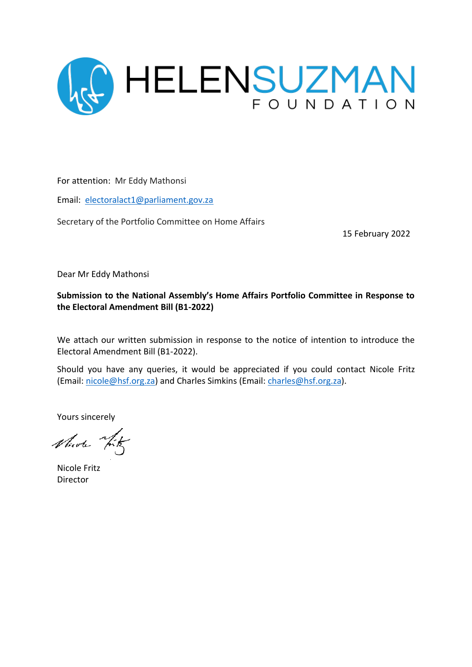

For attention: Mr Eddy Mathonsi

Email: [electoralact1@parliament.gov.za](mailto:electoralact1@parliament.gov.za)

Secretary of the Portfolio Committee on Home Affairs

15 February 2022

Dear Mr Eddy Mathonsi

**Submission to the National Assembly's Home Affairs Portfolio Committee in Response to the Electoral Amendment Bill (B1-2022)**

We attach our written submission in response to the notice of intention to introduce the Electoral Amendment Bill (B1-2022).

Should you have any queries, it would be appreciated if you could contact Nicole Fritz (Email: [nicole@hsf.org.za\)](mailto:nicole@hsf.org.za) and Charles Simkins (Email: [charles@hsf.org.za\)](mailto:charles@hsf.org.za).

Yours sincerely

Nicole Tity

Nicole Fritz Director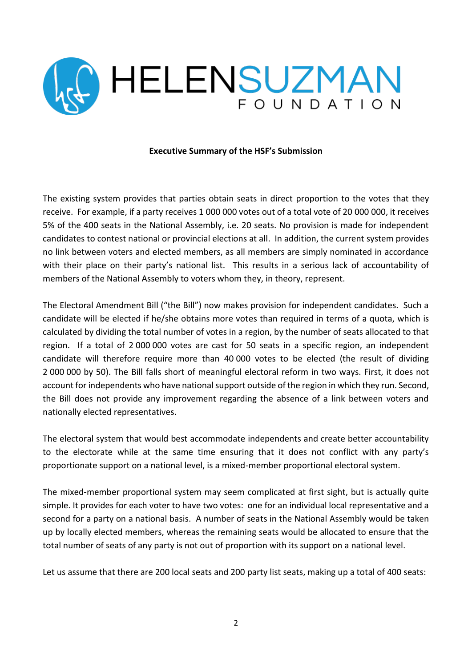

#### **Executive Summary of the HSF's Submission**

The existing system provides that parties obtain seats in direct proportion to the votes that they receive. For example, if a party receives 1 000 000 votes out of a total vote of 20 000 000, it receives 5% of the 400 seats in the National Assembly, i.e. 20 seats. No provision is made for independent candidates to contest national or provincial elections at all. In addition, the current system provides no link between voters and elected members, as all members are simply nominated in accordance with their place on their party's national list. This results in a serious lack of accountability of members of the National Assembly to voters whom they, in theory, represent.

The Electoral Amendment Bill ("the Bill") now makes provision for independent candidates. Such a candidate will be elected if he/she obtains more votes than required in terms of a quota, which is calculated by dividing the total number of votes in a region, by the number of seats allocated to that region. If a total of 2 000 000 votes are cast for 50 seats in a specific region, an independent candidate will therefore require more than 40 000 votes to be elected (the result of dividing 2 000 000 by 50). The Bill falls short of meaningful electoral reform in two ways. First, it does not account for independents who have national support outside of the region in which they run. Second, the Bill does not provide any improvement regarding the absence of a link between voters and nationally elected representatives.

The electoral system that would best accommodate independents and create better accountability to the electorate while at the same time ensuring that it does not conflict with any party's proportionate support on a national level, is a mixed-member proportional electoral system.

The mixed-member proportional system may seem complicated at first sight, but is actually quite simple. It provides for each voter to have two votes: one for an individual local representative and a second for a party on a national basis. A number of seats in the National Assembly would be taken up by locally elected members, whereas the remaining seats would be allocated to ensure that the total number of seats of any party is not out of proportion with its support on a national level.

Let us assume that there are 200 local seats and 200 party list seats, making up a total of 400 seats: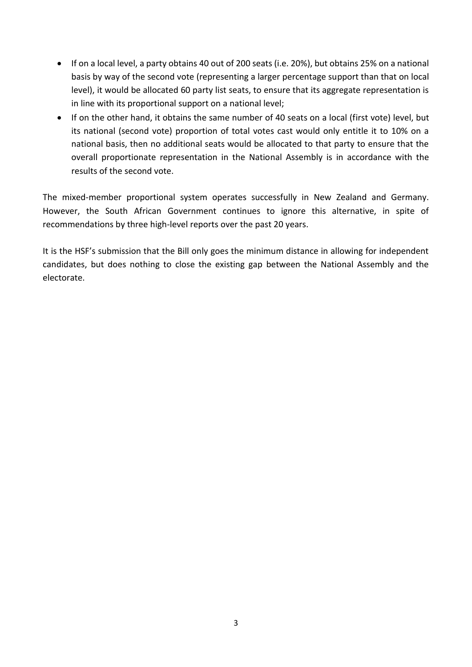- If on a local level, a party obtains 40 out of 200 seats (i.e. 20%), but obtains 25% on a national basis by way of the second vote (representing a larger percentage support than that on local level), it would be allocated 60 party list seats, to ensure that its aggregate representation is in line with its proportional support on a national level;
- If on the other hand, it obtains the same number of 40 seats on a local (first vote) level, but its national (second vote) proportion of total votes cast would only entitle it to 10% on a national basis, then no additional seats would be allocated to that party to ensure that the overall proportionate representation in the National Assembly is in accordance with the results of the second vote.

The mixed-member proportional system operates successfully in New Zealand and Germany. However, the South African Government continues to ignore this alternative, in spite of recommendations by three high-level reports over the past 20 years.

It is the HSF's submission that the Bill only goes the minimum distance in allowing for independent candidates, but does nothing to close the existing gap between the National Assembly and the electorate.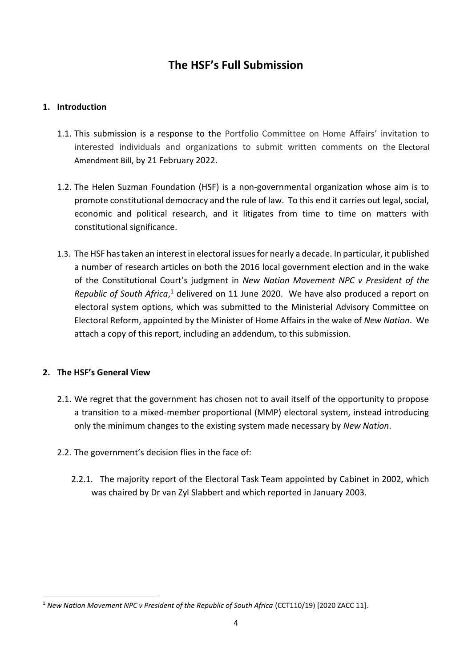# **The HSF's Full Submission**

## **1. Introduction**

- 1.1. This submission is a response to the Portfolio Committee on Home Affairs' invitation to interested individuals and organizations to submit written comments on the [Electoral](https://static.pmg.org.za/B1-2022_Electoral.pdf)  [Amendment Bill](https://static.pmg.org.za/B1-2022_Electoral.pdf), by 21 February 2022.
- 1.2. The Helen Suzman Foundation (HSF) is a non-governmental organization whose aim is to promote constitutional democracy and the rule of law. To this end it carries out legal, social, economic and political research, and it litigates from time to time on matters with constitutional significance.
- 1.3. The HSF has taken an interest in electoral issues for nearly a decade. In particular, it published a number of research articles on both the 2016 local government election and in the wake of the Constitutional Court's judgment in *New Nation Movement NPC v President of the*  Republic of South Africa,<sup>1</sup> delivered on 11 June 2020. We have also produced a report on electoral system options, which was submitted to the Ministerial Advisory Committee on Electoral Reform, appointed by the Minister of Home Affairs in the wake of *New Nation*. We attach a copy of this report, including an addendum, to this submission.

### **2. The HSF's General View**

- 2.1. We regret that the government has chosen not to avail itself of the opportunity to propose a transition to a mixed-member proportional (MMP) electoral system, instead introducing only the minimum changes to the existing system made necessary by *New Nation*.
- 2.2. The government's decision flies in the face of:
	- 2.2.1. The majority report of the Electoral Task Team appointed by Cabinet in 2002, which was chaired by Dr van Zyl Slabbert and which reported in January 2003.

<sup>1</sup> *New Nation Movement NPC v President of the Republic of South Africa* (CCT110/19) [2020 ZACC 11].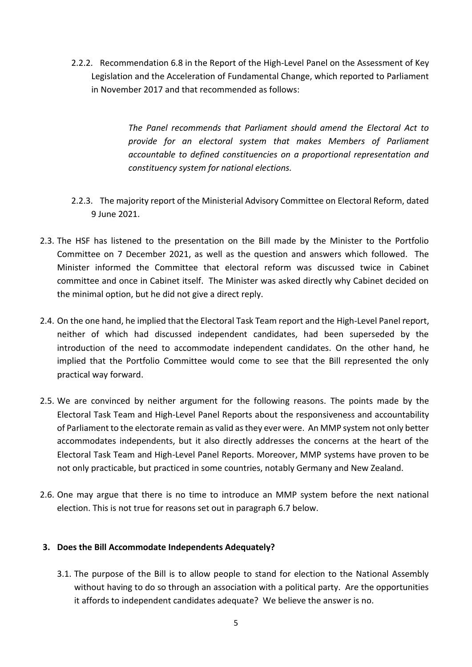2.2.2. Recommendation 6.8 in the Report of the High-Level Panel on the Assessment of Key Legislation and the Acceleration of Fundamental Change, which reported to Parliament in November 2017 and that recommended as follows:

> *The Panel recommends that Parliament should amend the Electoral Act to provide for an electoral system that makes Members of Parliament accountable to defined constituencies on a proportional representation and constituency system for national elections.*

- 2.2.3. The majority report of the Ministerial Advisory Committee on Electoral Reform, dated 9 June 2021.
- 2.3. The HSF has listened to the presentation on the Bill made by the Minister to the Portfolio Committee on 7 December 2021, as well as the question and answers which followed. The Minister informed the Committee that electoral reform was discussed twice in Cabinet committee and once in Cabinet itself. The Minister was asked directly why Cabinet decided on the minimal option, but he did not give a direct reply.
- 2.4. On the one hand, he implied that the Electoral Task Team report and the High-Level Panel report, neither of which had discussed independent candidates, had been superseded by the introduction of the need to accommodate independent candidates. On the other hand, he implied that the Portfolio Committee would come to see that the Bill represented the only practical way forward.
- 2.5. We are convinced by neither argument for the following reasons. The points made by the Electoral Task Team and High-Level Panel Reports about the responsiveness and accountability of Parliament to the electorate remain as valid as they ever were. An MMP system not only better accommodates independents, but it also directly addresses the concerns at the heart of the Electoral Task Team and High-Level Panel Reports. Moreover, MMP systems have proven to be not only practicable, but practiced in some countries, notably Germany and New Zealand.
- 2.6. One may argue that there is no time to introduce an MMP system before the next national election. This is not true for reasons set out in paragraph 6.7 below.

### **3. Does the Bill Accommodate Independents Adequately?**

3.1. The purpose of the Bill is to allow people to stand for election to the National Assembly without having to do so through an association with a political party. Are the opportunities it affords to independent candidates adequate? We believe the answer is no.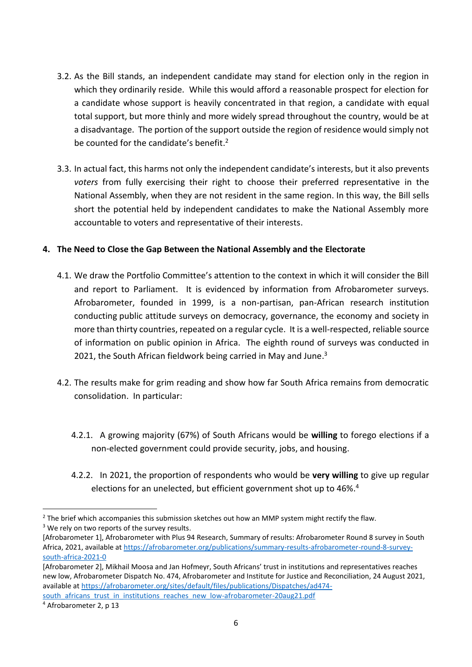- 3.2. As the Bill stands, an independent candidate may stand for election only in the region in which they ordinarily reside. While this would afford a reasonable prospect for election for a candidate whose support is heavily concentrated in that region, a candidate with equal total support, but more thinly and more widely spread throughout the country, would be at a disadvantage. The portion of the support outside the region of residence would simply not be counted for the candidate's benefit.<sup>2</sup>
- 3.3. In actual fact, this harms not only the independent candidate's interests, but it also prevents *voters* from fully exercising their right to choose their preferred representative in the National Assembly, when they are not resident in the same region. In this way, the Bill sells short the potential held by independent candidates to make the National Assembly more accountable to voters and representative of their interests.

### **4. The Need to Close the Gap Between the National Assembly and the Electorate**

- 4.1. We draw the Portfolio Committee's attention to the context in which it will consider the Bill and report to Parliament. It is evidenced by information from Afrobarometer surveys. Afrobarometer, founded in 1999, is a non-partisan, pan-African research institution conducting public attitude surveys on democracy, governance, the economy and society in more than thirty countries, repeated on a regular cycle. It is a well-respected, reliable source of information on public opinion in Africa. The eighth round of surveys was conducted in 2021, the South African fieldwork being carried in May and June.<sup>3</sup>
- 4.2. The results make for grim reading and show how far South Africa remains from democratic consolidation. In particular:
	- 4.2.1. A growing majority (67%) of South Africans would be **willing** to forego elections if a non-elected government could provide security, jobs, and housing.
	- 4.2.2. In 2021, the proportion of respondents who would be **very willing** to give up regular elections for an unelected, but efficient government shot up to 46%. 4

 $<sup>2</sup>$  The brief which accompanies this submission sketches out how an MMP system might rectify the flaw.</sup>  $3$  We rely on two reports of the survey results.

<sup>[</sup>Afrobarometer 1], Afrobarometer with Plus 94 Research, Summary of results: Afrobarometer Round 8 survey in South Africa, 2021, available at [https://afrobarometer.org/publications/summary-results-afrobarometer-round-8-survey](https://afrobarometer.org/publications/summary-results-afrobarometer-round-8-survey-south-africa-2021-0)[south-africa-2021-0](https://afrobarometer.org/publications/summary-results-afrobarometer-round-8-survey-south-africa-2021-0)

<sup>[</sup>Afrobarometer 2], Mikhail Moosa and Jan Hofmeyr, South Africans' trust in institutions and representatives reaches new low, Afrobarometer Dispatch No. 474, Afrobarometer and Institute for Justice and Reconciliation, 24 August 2021, available a[t https://afrobarometer.org/sites/default/files/publications/Dispatches/ad474](https://afrobarometer.org/sites/default/files/publications/Dispatches/ad474-south_africans_trust_in_institutions_reaches_new_low-afrobarometer-20aug21.pdf) south africans trust in institutions reaches new low-afrobarometer-20aug21.pdf

<sup>4</sup> Afrobarometer 2, p 13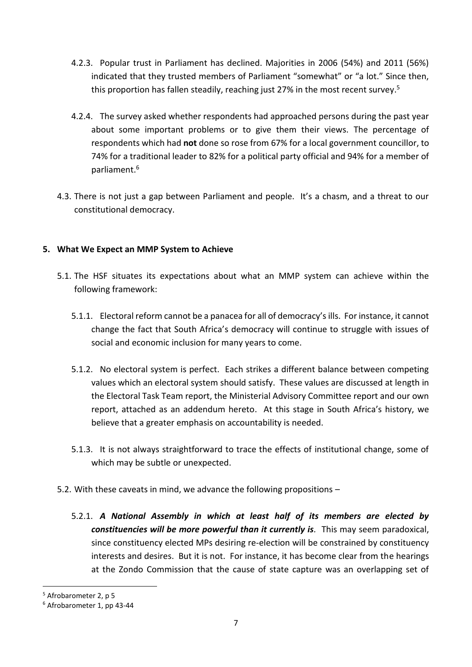- 4.2.3. Popular trust in Parliament has declined. Majorities in 2006 (54%) and 2011 (56%) indicated that they trusted members of Parliament "somewhat" or "a lot." Since then, this proportion has fallen steadily, reaching just 27% in the most recent survey. 5
- 4.2.4. The survey asked whether respondents had approached persons during the past year about some important problems or to give them their views. The percentage of respondents which had **not** done so rose from 67% for a local government councillor, to 74% for a traditional leader to 82% for a political party official and 94% for a member of parliament. 6
- 4.3. There is not just a gap between Parliament and people. It's a chasm, and a threat to our constitutional democracy.

### **5. What We Expect an MMP System to Achieve**

- 5.1. The HSF situates its expectations about what an MMP system can achieve within the following framework:
	- 5.1.1. Electoral reform cannot be a panacea for all of democracy's ills. For instance, it cannot change the fact that South Africa's democracy will continue to struggle with issues of social and economic inclusion for many years to come.
	- 5.1.2. No electoral system is perfect. Each strikes a different balance between competing values which an electoral system should satisfy. These values are discussed at length in the Electoral Task Team report, the Ministerial Advisory Committee report and our own report, attached as an addendum hereto. At this stage in South Africa's history, we believe that a greater emphasis on accountability is needed.
	- 5.1.3. It is not always straightforward to trace the effects of institutional change, some of which may be subtle or unexpected.
- 5.2. With these caveats in mind, we advance the following propositions
	- 5.2.1. *A National Assembly in which at least half of its members are elected by constituencies will be more powerful than it currently is.* This may seem paradoxical, since constituency elected MPs desiring re-election will be constrained by constituency interests and desires. But it is not. For instance, it has become clear from the hearings at the Zondo Commission that the cause of state capture was an overlapping set of

<sup>5</sup> Afrobarometer 2, p 5

<sup>6</sup> Afrobarometer 1, pp 43-44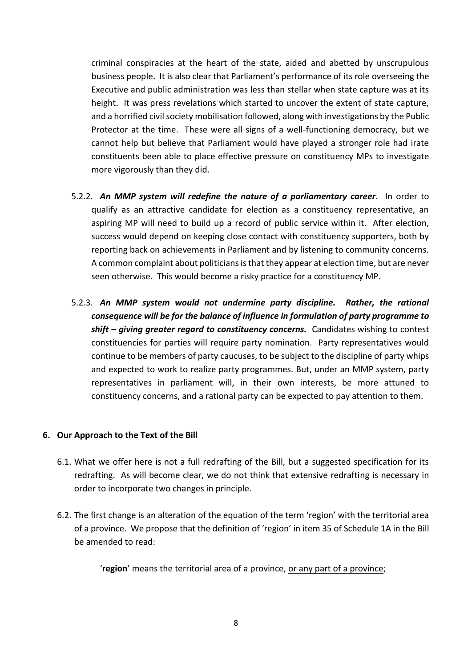criminal conspiracies at the heart of the state, aided and abetted by unscrupulous business people. It is also clear that Parliament's performance of its role overseeing the Executive and public administration was less than stellar when state capture was at its height. It was press revelations which started to uncover the extent of state capture, and a horrified civil society mobilisation followed, along with investigations by the Public Protector at the time. These were all signs of a well-functioning democracy, but we cannot help but believe that Parliament would have played a stronger role had irate constituents been able to place effective pressure on constituency MPs to investigate more vigorously than they did.

- 5.2.2. *An MMP system will redefine the nature of a parliamentary career.* In order to qualify as an attractive candidate for election as a constituency representative, an aspiring MP will need to build up a record of public service within it. After election, success would depend on keeping close contact with constituency supporters, both by reporting back on achievements in Parliament and by listening to community concerns. A common complaint about politicians is that they appear at election time, but are never seen otherwise. This would become a risky practice for a constituency MP.
- 5.2.3. *An MMP system would not undermine party discipline. Rather, the rational consequence will be for the balance of influence in formulation of party programme to shift – giving greater regard to constituency concerns.* Candidates wishing to contest constituencies for parties will require party nomination. Party representatives would continue to be members of party caucuses, to be subject to the discipline of party whips and expected to work to realize party programmes. But, under an MMP system, party representatives in parliament will, in their own interests, be more attuned to constituency concerns, and a rational party can be expected to pay attention to them.

#### **6. Our Approach to the Text of the Bill**

- 6.1. What we offer here is not a full redrafting of the Bill, but a suggested specification for its redrafting. As will become clear, we do not think that extensive redrafting is necessary in order to incorporate two changes in principle.
- 6.2. The first change is an alteration of the equation of the term 'region' with the territorial area of a province. We propose that the definition of 'region' in item 35 of Schedule 1A in the Bill be amended to read:

'**region**' means the territorial area of a province, or any part of a province;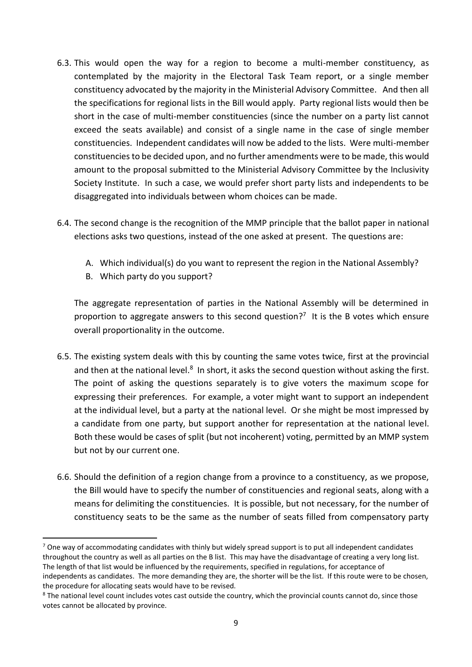- 6.3. This would open the way for a region to become a multi-member constituency, as contemplated by the majority in the Electoral Task Team report, or a single member constituency advocated by the majority in the Ministerial Advisory Committee. And then all the specifications for regional lists in the Bill would apply. Party regional lists would then be short in the case of multi-member constituencies (since the number on a party list cannot exceed the seats available) and consist of a single name in the case of single member constituencies. Independent candidates will now be added to the lists. Were multi-member constituencies to be decided upon, and no further amendments were to be made, this would amount to the proposal submitted to the Ministerial Advisory Committee by the Inclusivity Society Institute. In such a case, we would prefer short party lists and independents to be disaggregated into individuals between whom choices can be made.
- 6.4. The second change is the recognition of the MMP principle that the ballot paper in national elections asks two questions, instead of the one asked at present. The questions are:
	- A. Which individual(s) do you want to represent the region in the National Assembly?
	- B. Which party do you support?

The aggregate representation of parties in the National Assembly will be determined in proportion to aggregate answers to this second question?<sup>7</sup> It is the B votes which ensure overall proportionality in the outcome.

- 6.5. The existing system deals with this by counting the same votes twice, first at the provincial and then at the national level.<sup>8</sup> In short, it asks the second question without asking the first. The point of asking the questions separately is to give voters the maximum scope for expressing their preferences. For example, a voter might want to support an independent at the individual level, but a party at the national level. Or she might be most impressed by a candidate from one party, but support another for representation at the national level. Both these would be cases of split (but not incoherent) voting, permitted by an MMP system but not by our current one.
- 6.6. Should the definition of a region change from a province to a constituency, as we propose, the Bill would have to specify the number of constituencies and regional seats, along with a means for delimiting the constituencies. It is possible, but not necessary, for the number of constituency seats to be the same as the number of seats filled from compensatory party

 $7$  One way of accommodating candidates with thinly but widely spread support is to put all independent candidates throughout the country as well as all parties on the B list. This may have the disadvantage of creating a very long list. The length of that list would be influenced by the requirements, specified in regulations, for acceptance of independents as candidates. The more demanding they are, the shorter will be the list. If this route were to be chosen, the procedure for allocating seats would have to be revised.

<sup>&</sup>lt;sup>8</sup> The national level count includes votes cast outside the country, which the provincial counts cannot do, since those votes cannot be allocated by province.